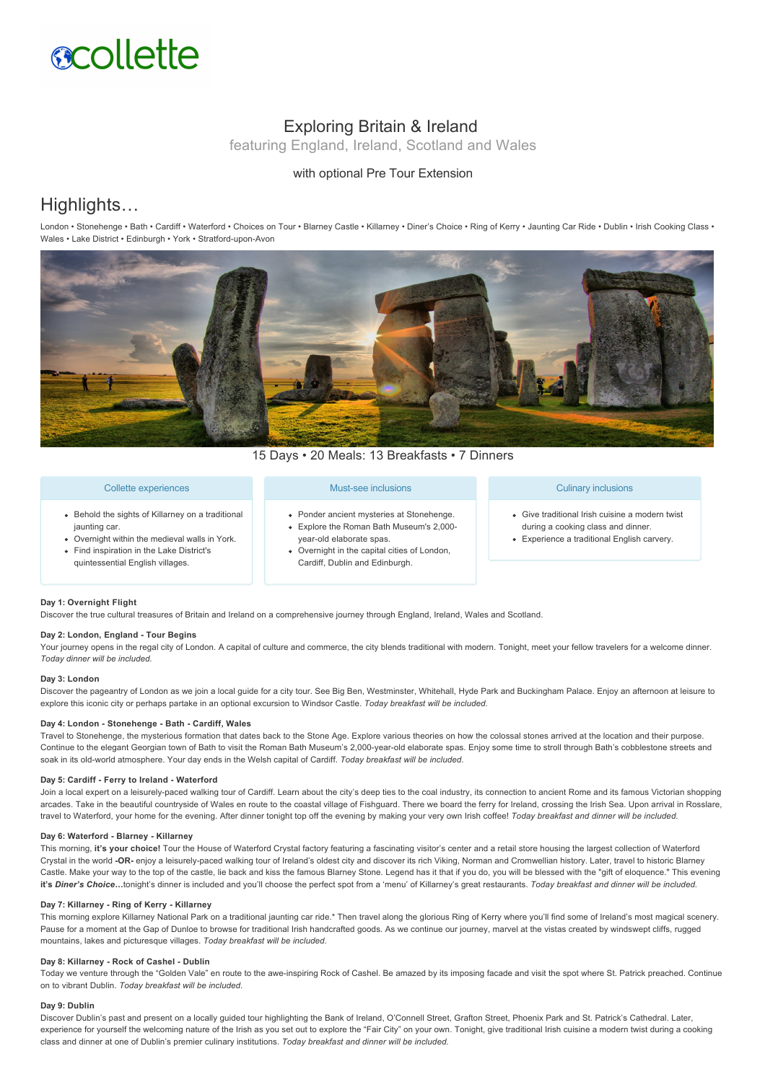

# Exploring Britain & Ireland

featuring England, Ireland, Scotland and Wales

### with optional Pre Tour Extension

# Highlights…

London • Stonehenge • Bath • Cardiff • Waterford • Choices on Tour • Blarney Castle • Killarney • Diner's Choice • Ring of Kerry • Jaunting Car Ride • Dublin • Irish Cooking Class • Wales • Lake District • Edinburgh • York • Stratford-upon-Avon



15 Days • 20 Meals: 13 Breakfasts • 7 Dinners

#### Collette experiences

- Behold the sights of Killarney on a traditional jaunting car.
- Overnight within the medieval walls in York. Find inspiration in the Lake District's
- quintessential English villages.

#### Must-see inclusions

- Ponder ancient mysteries at Stonehenge. Explore the Roman Bath Museum's 2,000
- year-old elaborate spas.
- Overnight in the capital cities of London, Cardiff, Dublin and Edinburgh.

#### Culinary inclusions

- Give traditional Irish cuisine a modern twist during a cooking class and dinner.
- **Experience a traditional English carvery.**

#### **Day 1: Overnight Flight**

Discover the true cultural treasures of Britain and Ireland on a comprehensive journey through England, Ireland, Wales and Scotland.

#### Day 2: London, England - Tour Begins

Your journey opens in the regal city of London. A capital of culture and commerce, the city blends traditional with modern. Tonight, meet your fellow travelers for a welcome dinner. *Today dinner will be included.*

#### **Day 3: London**

Discover the pageantry of London as we join a local guide for a city tour. See Big Ben, Westminster, Whitehall, Hyde Park and Buckingham Palace. Enjoy an afternoon at leisure to explore this iconic city or perhaps partake in an optional excursion to Windsor Castle. *Today breakfast will be included.*

#### Day 4: London - Stonehenge - Bath - Cardiff, Wales

Travel to Stonehenge, the mysterious formation that dates back to the Stone Age. Explore various theories on how the colossal stones arrived at the location and their purpose. Continue to the elegant Georgian town of Bath to visit the Roman Bath Museum's 2,000-year-old elaborate spas. Enjoy some time to stroll through Bath's cobblestone streets and soak in its oldworld atmosphere. Your day ends in the Welsh capital of Cardiff. *Today breakfast will be included.*

#### Day 5: Cardiff - Ferry to Ireland - Waterford

Join a local expert on a leisurely-paced walking tour of Cardiff. Learn about the city's deep ties to the coal industry, its connection to ancient Rome and its famous Victorian shopping arcades. Take in the beautiful countryside of Wales en route to the coastal village of Fishguard. There we board the ferry for Ireland, crossing the Irish Sea. Upon arrival in Rosslare, travel to Waterford, your home for the evening. After dinner tonight top off the evening by making your very own Irish coffee! *Today breakfast and dinner will be included.*

#### Day 6: Waterford - Blarney - Killarney

This morning, it's your choice! Tour the House of Waterford Crystal factory featuring a fascinating visitor's center and a retail store housing the largest collection of Waterford Crystal in the world -OR- enjoy a leisurely-paced walking tour of Ireland's oldest city and discover its rich Viking, Norman and Cromwellian history. Later, travel to historic Blarney Castle. Make your way to the top of the castle, lie back and kiss the famous Blarney Stone. Legend has it that if you do, you will be blessed with the "gift of eloquence." This evening **it's** *Diner's Choice…*tonight's dinner is included and you'll choose the perfect spot from a 'menu' of Killarney's great restaurants. *Today breakfast and dinner will be included.*

#### Day 7: Killarney - Ring of Kerry - Killarney

This morning explore Killarney National Park on a traditional jaunting car ride.\* Then travel along the glorious Ring of Kerry where you'll find some of Ireland's most magical scenery. Pause for a moment at the Gap of Dunloe to browse for traditional Irish handcrafted goods. As we continue our journey, marvel at the vistas created by windswept cliffs, rugged mountains, lakes and picturesque villages. *Today breakfast will be included.*

#### Day 8: Killarney - Rock of Cashel - Dublin

Today we venture through the "Golden Vale" en route to the awe-inspiring Rock of Cashel. Be amazed by its imposing facade and visit the spot where St. Patrick preached. Continue on to vibrant Dublin. *Today breakfast will be included.*

#### **Day 9: Dublin**

Discover Dublin's past and present on a locally guided tour highlighting the Bank of Ireland, O'Connell Street, Grafton Street, Phoenix Park and St. Patrick's Cathedral. Later, experience for yourself the welcoming nature of the Irish as you set out to explore the "Fair City" on your own. Tonight, give traditional Irish cuisine a modern twist during a cooking class and dinner at one of Dublin's premier culinary institutions. *Today breakfast and dinner will be included.*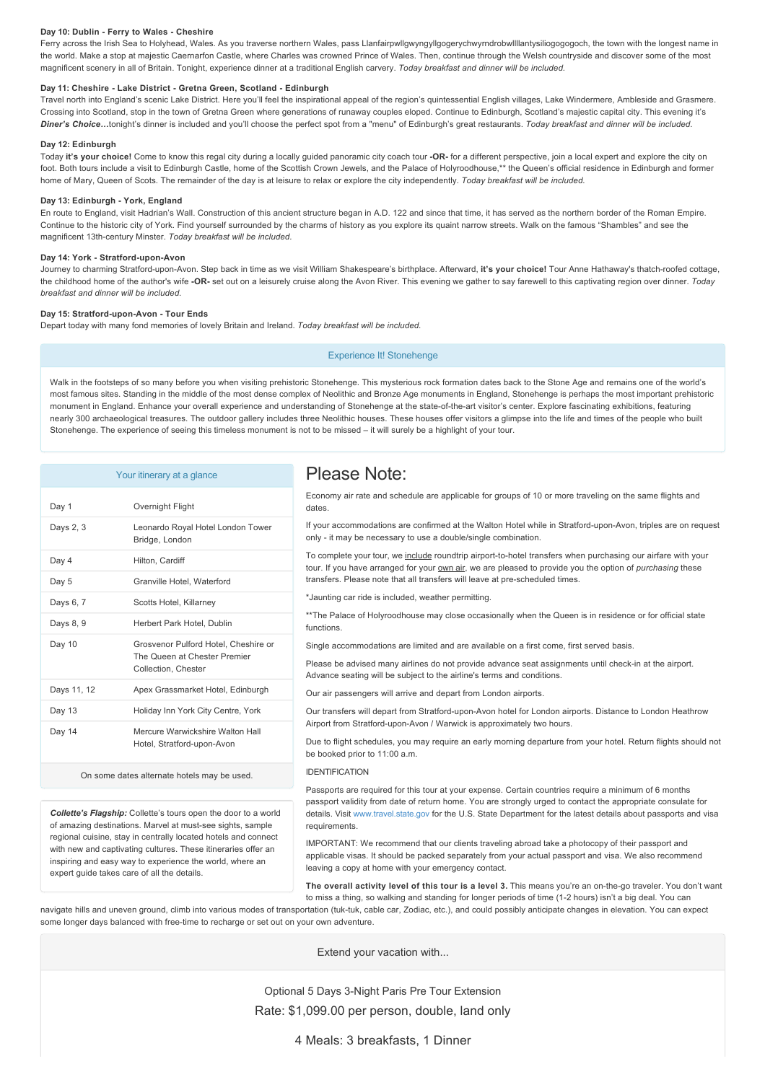#### Day 10: Dublin - Ferry to Wales - Cheshire

Ferry across the Irish Sea to Holyhead, Wales. As you traverse northern Wales, pass Llanfairpwllgwyngyllgogerychwyrndrobwllllantysiliogogogoch, the town with the longest name in the world. Make a stop at majestic Caernarfon Castle, where Charles was crowned Prince of Wales. Then, continue through the Welsh countryside and discover some of the most magnificent scenery in all of Britain. Tonight, experience dinner at a traditional English carvery. *Today breakfast and dinner will be included.*

#### Day 11: Cheshire - Lake District - Gretna Green, Scotland - Edinburgh

Travel north into England's scenic Lake District. Here you'll feel the inspirational appeal of the region's quintessential English villages, Lake Windermere, Ambleside and Grasmere. Crossing into Scotland, stop in the town of Gretna Green where generations of runaway couples eloped. Continue to Edinburgh, Scotland's majestic capital city. This evening it's *Diner's Choice…*tonight's dinner is included and you'll choose the perfect spot from a "menu" of Edinburgh's great restaurants. *Today breakfast and dinner will be included.*

#### **Day 12: Edinburgh**

Today **it's your choice!** Come to know this regal city during a locally guided panoramic city coach tour **OR** for a different perspective, join a local expert and explore the city on foot. Both tours include a visit to Edinburgh Castle, home of the Scottish Crown Jewels, and the Palace of Holyroodhouse,\*\* the Queen's official residence in Edinburgh and former home of Mary, Queen of Scots. The remainder of the day is at leisure to relax or explore the city independently. *Today breakfast will be included.*

#### Day 13: Edinburgh - York, England

En route to England, visit Hadrian's Wall. Construction of this ancient structure began in A.D. 122 and since that time, it has served as the northern border of the Roman Empire. Continue to the historic city of York. Find yourself surrounded by the charms of history as you explore its quaint narrow streets. Walk on the famous "Shambles" and see the magnificent 13th-century Minster. *Today breakfast will be included.* 

#### Day 14: York - Stratford-upon-Avon

Journey to charming Stratford-upon-Avon. Step back in time as we visit William Shakespeare's birthplace. Afterward, it's your choice! Tour Anne Hathaway's thatch-roofed cottage, the childhood home of the author's wife **OR** set out on a leisurely cruise along the Avon River. This evening we gather to say farewell to this captivating region over dinner. *Today breakfast and dinner will be included.*

#### Day 15: Stratford-upon-Avon - Tour Ends

Depart today with many fond memories of lovely Britain and Ireland. *Today breakfast will be included.*

Experience It! Stonehenge

Walk in the footsteps of so many before you when visiting prehistoric Stonehenge. This mysterious rock formation dates back to the Stone Age and remains one of the world's most famous sites. Standing in the middle of the most dense complex of Neolithic and Bronze Age monuments in England, Stonehenge is perhaps the most important prehistoric monument in England. Enhance your overall experience and understanding of Stonehenge at the state-of-the-art visitor's center. Explore fascinating exhibitions, featuring nearly 300 archaeological treasures. The outdoor gallery includes three Neolithic houses. These houses offer visitors a glimpse into the life and times of the people who built Stonehenge. The experience of seeing this timeless monument is not to be missed – it will surely be a highlight of your tour.

#### Your itinerary at a glance

| Day 1       | Overnight Flight                                                                            |
|-------------|---------------------------------------------------------------------------------------------|
| Days 2, 3   | Leonardo Royal Hotel London Tower<br>Bridge, London                                         |
| Day 4       | Hilton, Cardiff                                                                             |
| Day 5       | Granville Hotel, Waterford                                                                  |
| Days 6, 7   | Scotts Hotel, Killarney                                                                     |
| Days 8, 9   | Herbert Park Hotel, Dublin                                                                  |
| Day 10      | Grosvenor Pulford Hotel, Cheshire or<br>The Queen at Chester Premier<br>Collection, Chester |
| Days 11, 12 | Apex Grassmarket Hotel, Edinburgh                                                           |
| Day 13      | Holiday Inn York City Centre, York                                                          |
| Day 14      | Mercure Warwickshire Walton Hall<br>Hotel, Stratford-upon-Avon                              |

On some dates alternate hotels may be used.

*Collette's Flagship:* Collette's tours open the door to a world of amazing destinations. Marvel at must-see sights, sample regional cuisine, stay in centrally located hotels and connect with new and captivating cultures. These itineraries offer an inspiring and easy way to experience the world, where an expert guide takes care of all the details.

## Please Note:

Economy air rate and schedule are applicable for groups of 10 or more traveling on the same flights and dates

If your accommodations are confirmed at the Walton Hotel while in Stratford-upon-Avon, triples are on request only - it may be necessary to use a double/single combination.

To complete your tour, we include roundtrip airport-to-hotel transfers when purchasing our airfare with your tour. If you have arranged for your own air, we are pleased to provide you the option of *purchasing* these transfers. Please note that all transfers will leave at pre-scheduled times.

\*Jaunting car ride is included, weather permitting.

\*\*The Palace of Holyroodhouse may close occasionally when the Queen is in residence or for official state functions.

Single accommodations are limited and are available on a first come, first served basis.

Please be advised many airlines do not provide advance seat assignments until check-in at the airport. Advance seating will be subject to the airline's terms and conditions.

Our air passengers will arrive and depart from London airports.

Our transfers will depart from Stratford-upon-Avon hotel for London airports. Distance to London Heathrow Airport from Stratford-upon-Avon / Warwick is approximately two hours.

Due to flight schedules, you may require an early morning departure from your hotel. Return flights should not be booked prior to 11:00 a.m.

#### IDENTIFICATION

Passports are required for this tour at your expense. Certain countries require a minimum of 6 months passport validity from date of return home. You are strongly urged to contact the appropriate consulate for details. Visit [www.travel.state.gov](https://itinerary.collette.com/Documents/Flyer/13436/USD/www.travel.state.gov) for the U.S. State Department for the latest details about passports and visa requirements.

IMPORTANT: We recommend that our clients traveling abroad take a photocopy of their passport and applicable visas. It should be packed separately from your actual passport and visa. We also recommend leaving a copy at home with your emergency contact.

**The overall activity level of this tour is a level 3.** This means you're an onthego traveler. You don't want to miss a thing, so walking and standing for longer periods of time (1-2 hours) isn't a big deal. You can

navigate hills and uneven ground, climb into various modes of transportation (tuk-tuk, cable car, Zodiac, etc.), and could possibly anticipate changes in elevation. You can expect some longer days balanced with free-time to recharge or set out on your own adventure

Extend your vacation with...

### Optional 5 Days 3-Night Paris Pre Tour Extension Rate: \$1,099.00 per person, double, land only

4 Meals: 3 breakfasts, 1 Dinner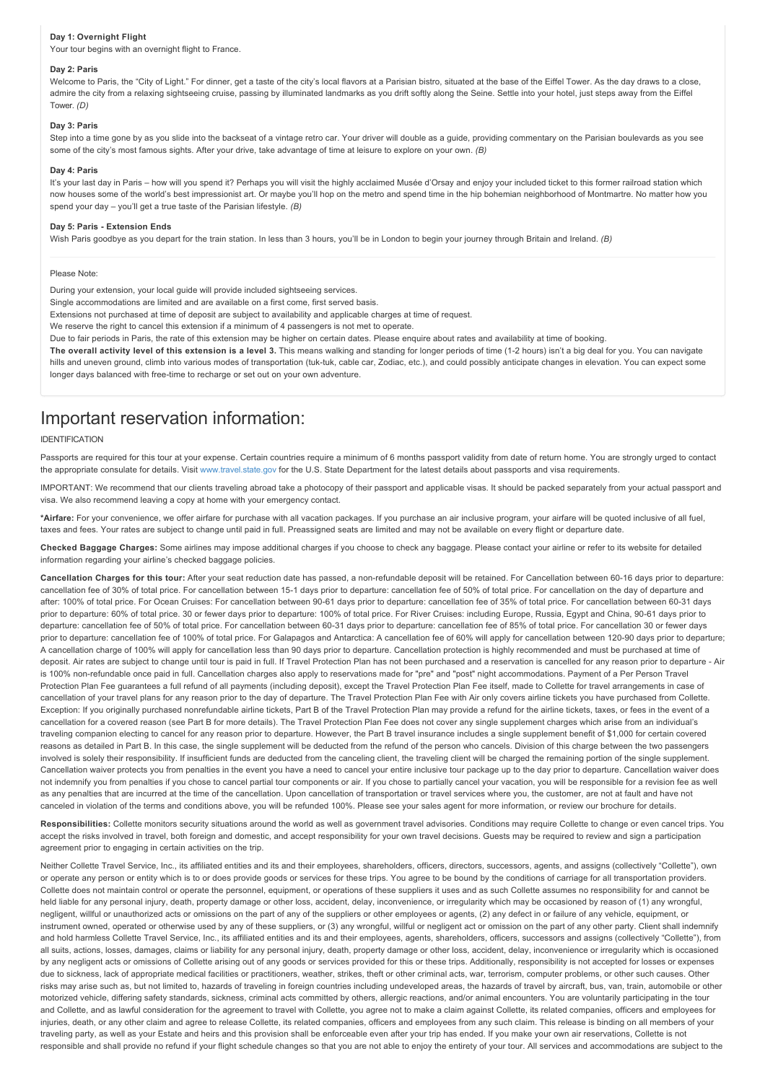#### **Day 1: Overnight Flight**

Your tour begins with an overnight flight to France.

#### **Day 2: Paris**

Welcome to Paris, the "City of Light." For dinner, get a taste of the city's local flavors at a Parisian bistro, situated at the base of the Eiffel Tower. As the day draws to a close, admire the city from a relaxing sightseeing cruise, passing by illuminated landmarks as you drift softly along the Seine. Settle into your hotel, just steps away from the Eiffel Tower. *(D)*

#### **Day 3: Paris**

Step into a time gone by as you slide into the backseat of a vintage retro car. Your driver will double as a guide, providing commentary on the Parisian boulevards as you see some of the city's most famous sights. After your drive, take advantage of time at leisure to explore on your own. *(B)*

#### **Day 4: Paris**

It's your last day in Paris - how will you spend it? Perhaps you will visit the highly acclaimed Musée d'Orsay and enjoy your included ticket to this former railroad station which now houses some of the world's best impressionist art. Or maybe you'll hop on the metro and spend time in the hip bohemian neighborhood of Montmartre. No matter how you spend your day – you'll get a true taste of the Parisian lifestyle. *(B)*

#### **Day 5: Paris Extension Ends**

Wish Paris goodbye as you depart for the train station. In less than 3 hours, you'll be in London to begin your journey through Britain and Ireland. *(B)* 

#### Please Note:

During your extension, your local guide will provide included sightseeing services.

Single accommodations are limited and are available on a first come, first served basis.

Extensions not purchased at time of deposit are subject to availability and applicable charges at time of request.

We reserve the right to cancel this extension if a minimum of 4 passengers is not met to operate.

Due to fair periods in Paris, the rate of this extension may be higher on certain dates. Please enquire about rates and availability at time of booking.

**The overall activity level of this extension is a level 3.** This means walking and standing for longer periods of time (12 hours) isn't a big deal for you. You can navigate hills and uneven ground, climb into various modes of transportation (tuk-tuk, cable car, Zodiac, etc.), and could possibly anticipate changes in elevation. You can expect some longer days balanced with free-time to recharge or set out on your own adventure.

## Important reservation information:

#### IDENTIFICATION

Passports are required for this tour at your expense. Certain countries require a minimum of 6 months passport validity from date of return home. You are strongly urged to contact the appropriate consulate for details. Visit [www.travel.state.gov](https://itinerary.collette.com/Documents/Flyer/13436/USD/www.travel.state.gov) for the U.S. State Department for the latest details about passports and visa requirements.

IMPORTANT: We recommend that our clients traveling abroad take a photocopy of their passport and applicable visas. It should be packed separately from your actual passport and visa. We also recommend leaving a copy at home with your emergency contact.

**\*Airfare:** For your convenience, we offer airfare for purchase with all vacation packages. If you purchase an air inclusive program, your airfare will be quoted inclusive of all fuel, taxes and fees. Your rates are subject to change until paid in full. Preassigned seats are limited and may not be available on every flight or departure date.

**Checked Baggage Charges:** Some airlines may impose additional charges if you choose to check any baggage. Please contact your airline or refer to its website for detailed information regarding your airline's checked baggage policies.

Cancellation Charges for this tour: After your seat reduction date has passed, a non-refundable deposit will be retained. For Cancellation between 60-16 days prior to departure: cancellation fee of 30% of total price. For cancellation between 151 days prior to departure: cancellation fee of 50% of total price. For cancellation on the day of departure and after: 100% of total price. For Ocean Cruises: For cancellation between 90-61 days prior to departure: cancellation fee of 35% of total price. For cancellation between 60-31 days prior to departure: 60% of total price. 30 or fewer days prior to departure: 100% of total price. For River Cruises: including Europe, Russia, Egypt and China, 90-61 days prior to departure: cancellation fee of 50% of total price. For cancellation between 6031 days prior to departure: cancellation fee of 85% of total price. For cancellation 30 or fewer days prior to departure: cancellation fee of 100% of total price. For Galapagos and Antarctica: A cancellation fee of 60% will apply for cancellation between 120-90 days prior to departure; A cancellation charge of 100% will apply for cancellation less than 90 days prior to departure. Cancellation protection is highly recommended and must be purchased at time of deposit. Air rates are subject to change until tour is paid in full. If Travel Protection Plan has not been purchased and a reservation is cancelled for any reason prior to departure - Air is 100% non-refundable once paid in full. Cancellation charges also apply to reservations made for "pre" and "post" night accommodations. Payment of a Per Person Travel Protection Plan Fee guarantees a full refund of all payments (including deposit), except the Travel Protection Plan Fee itself, made to Collette for travel arrangements in case of cancellation of your travel plans for any reason prior to the day of departure. The Travel Protection Plan Fee with Air only covers airline tickets you have purchased from Collette. Exception: If you originally purchased nonrefundable airline tickets, Part B of the Travel Protection Plan may provide a refund for the airline tickets, taxes, or fees in the event of a cancellation for a covered reason (see Part B for more details). The Travel Protection Plan Fee does not cover any single supplement charges which arise from an individual's traveling companion electing to cancel for any reason prior to departure. However, the Part B travel insurance includes a single supplement benefit of \$1,000 for certain covered reasons as detailed in Part B. In this case, the single supplement will be deducted from the refund of the person who cancels. Division of this charge between the two passengers involved is solely their responsibility. If insufficient funds are deducted from the canceling client, the traveling client will be charged the remaining portion of the single supplement. Cancellation waiver protects you from penalties in the event you have a need to cancel your entire inclusive tour package up to the day prior to departure. Cancellation waiver does not indemnify you from penalties if you chose to cancel partial tour components or air. If you chose to partially cancel your vacation, you will be responsible for a revision fee as well as any penalties that are incurred at the time of the cancellation. Upon cancellation of transportation or travel services where you, the customer, are not at fault and have not canceled in violation of the terms and conditions above, you will be refunded 100%. Please see your sales agent for more information, or review our brochure for details.

Responsibilities: Collette monitors security situations around the world as well as government travel advisories. Conditions may require Collette to change or even cancel trips. You accept the risks involved in travel, both foreign and domestic, and accept responsibility for your own travel decisions. Guests may be required to review and sign a participation agreement prior to engaging in certain activities on the trip.

Neither Collette Travel Service, Inc., its affiliated entities and its and their employees, shareholders, officers, directors, successors, agents, and assigns (collectively "Collette"), own or operate any person or entity which is to or does provide goods or services for these trips. You agree to be bound by the conditions of carriage for all transportation providers. Collette does not maintain control or operate the personnel, equipment, or operations of these suppliers it uses and as such Collette assumes no responsibility for and cannot be held liable for any personal injury, death, property damage or other loss, accident, delay, inconvenience, or irregularity which may be occasioned by reason of (1) any wrongful, negligent, willful or unauthorized acts or omissions on the part of any of the suppliers or other employees or agents, (2) any defect in or failure of any vehicle, equipment, or instrument owned, operated or otherwise used by any of these suppliers, or (3) any wrongful, willful or negligent act or omission on the part of any other party. Client shall indemnify and hold harmless Collette Travel Service, Inc., its affiliated entities and its and their employees, agents, shareholders, officers, successors and assigns (collectively "Collette"), from all suits, actions, losses, damages, claims or liability for any personal injury, death, property damage or other loss, accident, delay, inconvenience or irregularity which is occasioned by any negligent acts or omissions of Collette arising out of any goods or services provided for this or these trips. Additionally, responsibility is not accepted for losses or expenses due to sickness, lack of appropriate medical facilities or practitioners, weather, strikes, theft or other criminal acts, war, terrorism, computer problems, or other such causes. Other risks may arise such as, but not limited to, hazards of traveling in foreign countries including undeveloped areas, the hazards of travel by aircraft, bus, van, train, automobile or other motorized vehicle, differing safety standards, sickness, criminal acts committed by others, allergic reactions, and/or animal encounters. You are voluntarily participating in the tour and Collette, and as lawful consideration for the agreement to travel with Collette, you agree not to make a claim against Collette, its related companies, officers and employees for injuries, death, or any other claim and agree to release Collette, its related companies, officers and employees from any such claim. This release is binding on all members of your traveling party, as well as your Estate and heirs and this provision shall be enforceable even after your trip has ended. If you make your own air reservations, Collette is not responsible and shall provide no refund if your flight schedule changes so that you are not able to enjoy the entirety of your tour. All services and accommodations are subject to the